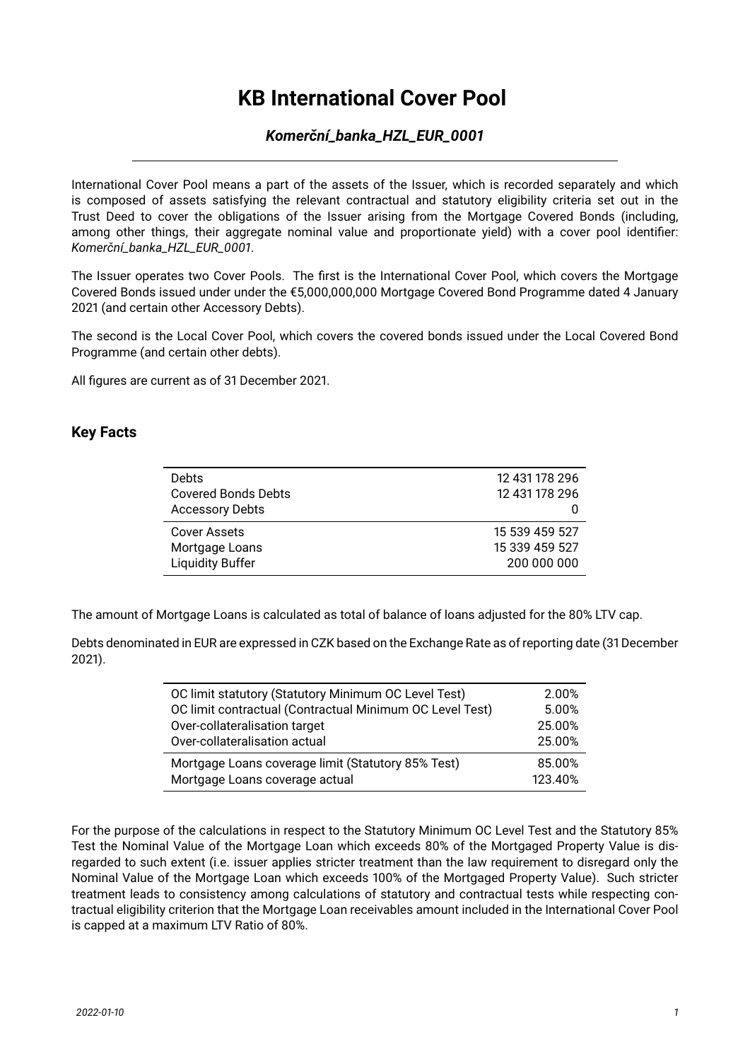# **KB International Cover Pool**

#### *Komerční\_banka\_HZL\_EUR\_0001*

International Cover Pool means a part of the assets of the Issuer, which is recorded separately and which is composed of assets satisfying the relevant contractual and statutory eligibility criteria set out in the Trust Deed to cover the obligations of the Issuer arising from the Mortgage Covered Bonds (including, among other things, their aggregate nominal value and proportionate yield) with a cover pool identifier: *Komerční\_banka\_HZL\_EUR\_0001*.

The Issuer operates two Cover Pools. The first is the International Cover Pool, which covers the Mortgage Covered Bonds issued under under the €5,000,000,000 Mortgage Covered Bond Programme dated 4 January 2021 (and certain other Accessory Debts).

The second is the Local Cover Pool, which covers the covered bonds issued under the Local Covered Bond Programme (and certain other debts).

All figures are current as of 31 December 2021.

#### **Key Facts**

| <b>Debts</b><br><b>Covered Bonds Debts</b><br><b>Accessory Debts</b> | 12 431 178 296<br>12 431 178 296 |
|----------------------------------------------------------------------|----------------------------------|
| Cover Assets                                                         | 15 539 459 527                   |
| Mortgage Loans                                                       | 15 339 459 527                   |
| <b>Liquidity Buffer</b>                                              | 200 000 000                      |

The amount of Mortgage Loans is calculated as total of balance of loans adjusted for the 80% LTV cap.

Debts denominated in EUR are expressed in CZK based on the Exchange Rate as of reporting date (31 December 2021).

| OC limit statutory (Statutory Minimum OC Level Test)     | 2.00%   |
|----------------------------------------------------------|---------|
| OC limit contractual (Contractual Minimum OC Level Test) | 5.00%   |
| Over-collateralisation target                            | 25.00%  |
| Over-collateralisation actual                            | 25.00%  |
| Mortgage Loans coverage limit (Statutory 85% Test)       | 85.00%  |
| Mortgage Loans coverage actual                           | 123.40% |

For the purpose of the calculations in respect to the Statutory Minimum OC Level Test and the Statutory 85% Test the Nominal Value of the Mortgage Loan which exceeds 80% of the Mortgaged Property Value is disregarded to such extent (i.e. issuer applies stricter treatment than the law requirement to disregard only the Nominal Value of the Mortgage Loan which exceeds 100% of the Mortgaged Property Value). Such stricter treatment leads to consistency among calculations of statutory and contractual tests while respecting contractual eligibility criterion that the Mortgage Loan receivables amount included in the International Cover Pool is capped at a maximum LTV Ratio of 80%.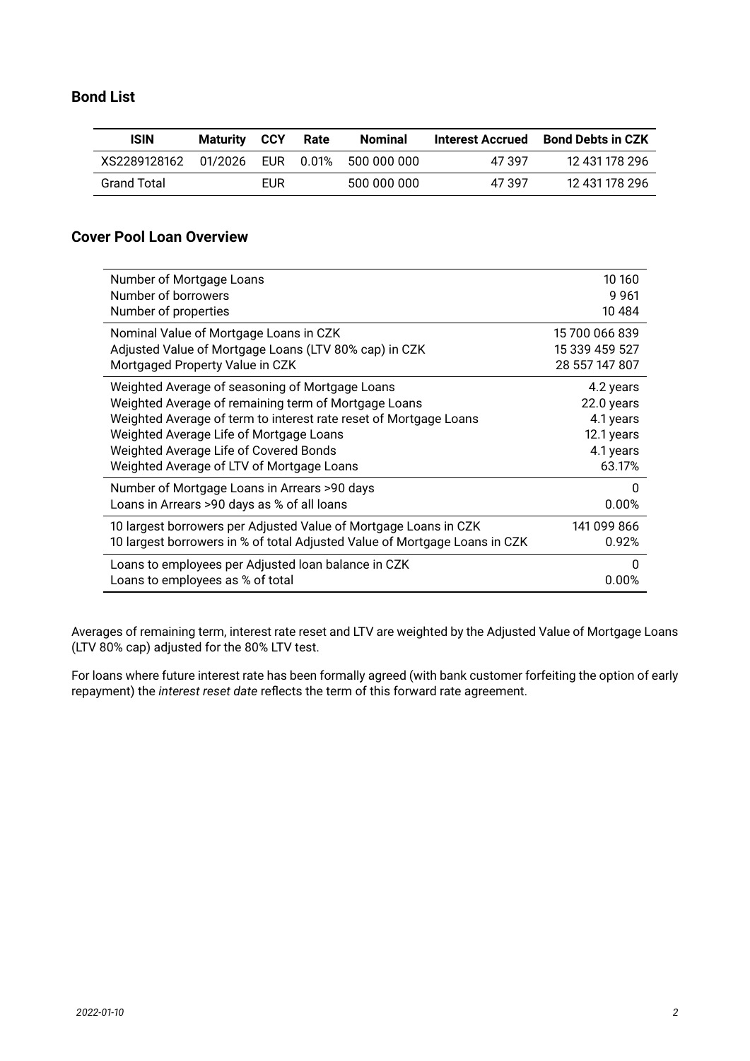#### **Bond List**

| <b>ISIN</b>        | <b>Maturity CCY</b> |     | Rate | Nominal     | Interest Accrued | <b>Bond Debts in CZK</b> |
|--------------------|---------------------|-----|------|-------------|------------------|--------------------------|
| XS2289128162       | 01/2026             |     |      |             | 47.397           | 12 431 178 296           |
| <b>Grand Total</b> |                     | EUR |      | 500 000 000 | 47.397           | 12 431 178 296           |

#### **Cover Pool Loan Overview**

| Number of Mortgage Loans                                                   | 10 160         |
|----------------------------------------------------------------------------|----------------|
| Number of borrowers                                                        | 9961           |
| Number of properties                                                       | 10 4 84        |
| Nominal Value of Mortgage Loans in CZK                                     | 15 700 066 839 |
| Adjusted Value of Mortgage Loans (LTV 80% cap) in CZK                      | 15 339 459 527 |
| Mortgaged Property Value in CZK                                            | 28 557 147 807 |
| Weighted Average of seasoning of Mortgage Loans                            | 4.2 years      |
| Weighted Average of remaining term of Mortgage Loans                       | 22.0 years     |
| Weighted Average of term to interest rate reset of Mortgage Loans          | 4.1 years      |
| Weighted Average Life of Mortgage Loans                                    | 12.1 years     |
| Weighted Average Life of Covered Bonds                                     | 4.1 years      |
| Weighted Average of LTV of Mortgage Loans                                  | 63.17%         |
| Number of Mortgage Loans in Arrears >90 days                               | 0              |
| Loans in Arrears >90 days as % of all loans                                | 0.00%          |
| 10 largest borrowers per Adjusted Value of Mortgage Loans in CZK           | 141 099 866    |
| 10 largest borrowers in % of total Adjusted Value of Mortgage Loans in CZK | 0.92%          |
| Loans to employees per Adjusted loan balance in CZK                        | 0              |
| Loans to employees as % of total                                           | 0.00%          |

Averages of remaining term, interest rate reset and LTV are weighted by the Adjusted Value of Mortgage Loans (LTV 80% cap) adjusted for the 80% LTV test.

For loans where future interest rate has been formally agreed (with bank customer forfeiting the option of early repayment) the *interest reset date* reflects the term of this forward rate agreement.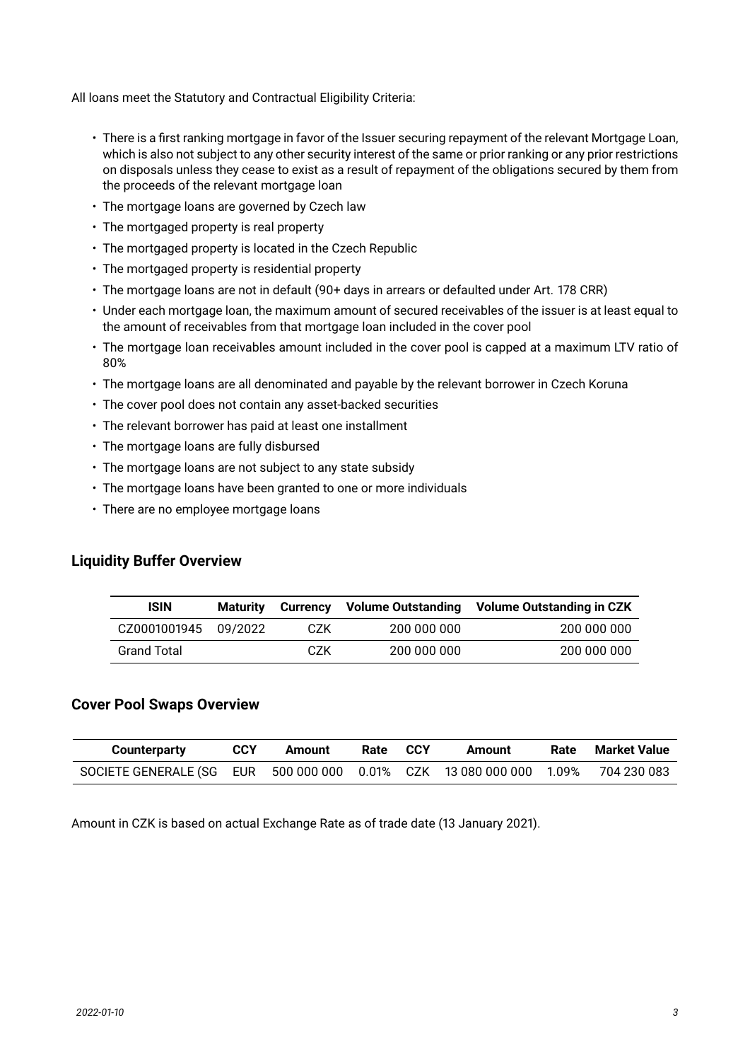All loans meet the Statutory and Contractual Eligibility Criteria:

- There is a first ranking mortgage in favor of the Issuer securing repayment of the relevant Mortgage Loan, which is also not subject to any other security interest of the same or prior ranking or any prior restrictions on disposals unless they cease to exist as a result of repayment of the obligations secured by them from the proceeds of the relevant mortgage loan
- The mortgage loans are governed by Czech law
- The mortgaged property is real property
- The mortgaged property is located in the Czech Republic
- The mortgaged property is residential property
- The mortgage loans are not in default (90+ days in arrears or defaulted under Art. 178 CRR)
- Under each mortgage loan, the maximum amount of secured receivables of the issuer is at least equal to the amount of receivables from that mortgage loan included in the cover pool
- The mortgage loan receivables amount included in the cover pool is capped at a maximum LTV ratio of 80%
- The mortgage loans are all denominated and payable by the relevant borrower in Czech Koruna
- The cover pool does not contain any asset-backed securities
- The relevant borrower has paid at least one installment
- The mortgage loans are fully disbursed
- The mortgage loans are not subject to any state subsidy
- The mortgage loans have been granted to one or more individuals
- There are no employee mortgage loans

#### **Liquidity Buffer Overview**

| <b>ISIN</b>          | Maturitv | Currency | <b>Volume Outstanding</b> | <b>Volume Outstanding in CZK</b> |
|----------------------|----------|----------|---------------------------|----------------------------------|
| CZ0001001945 09/2022 |          | CZK.     | 200 000 000               | 200 000 000                      |
| <b>Grand Total</b>   |          | CZK      | 200 000 000               | 200 000 000                      |

#### **Cover Pool Swaps Overview**

| Counterparty                                                                    | CCY | Amount | Rate | <b>CCY</b> | Amount | Rate | Market Value |
|---------------------------------------------------------------------------------|-----|--------|------|------------|--------|------|--------------|
| SOCIETE GENERALE (SG EUR 500 000 000 0.01% CZK 13 080 000 000 1.09% 704 230 083 |     |        |      |            |        |      |              |

Amount in CZK is based on actual Exchange Rate as of trade date (13 January 2021).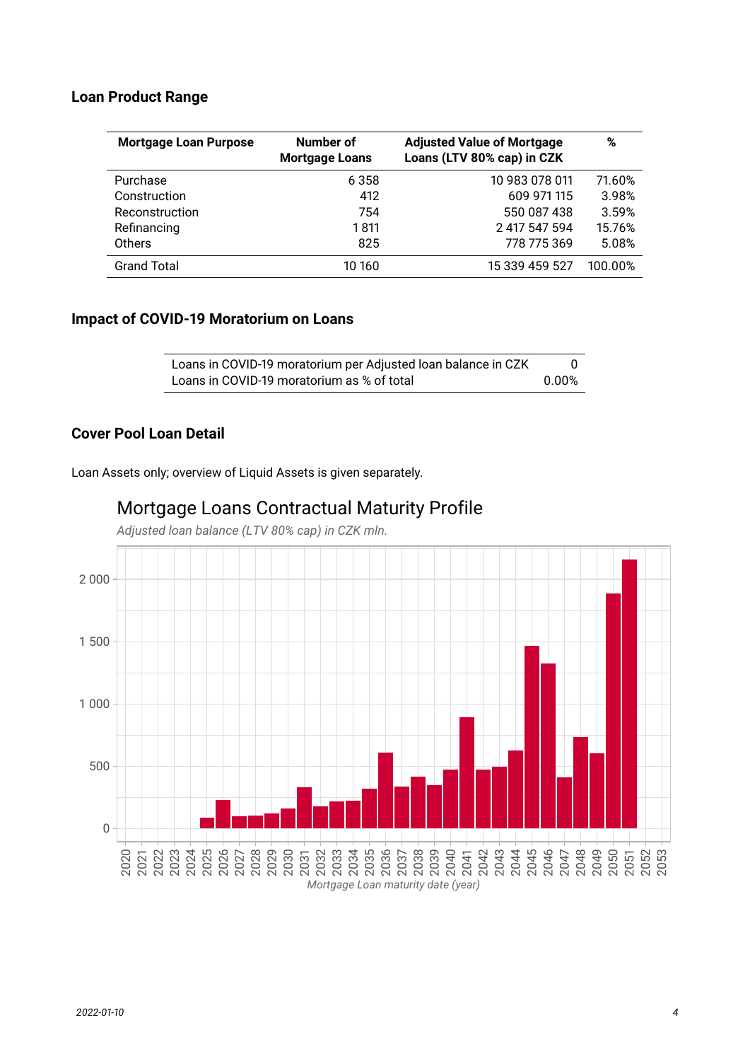#### **Loan Product Range**

| <b>Mortgage Loan Purpose</b> | Number of<br><b>Mortgage Loans</b> | <b>Adjusted Value of Mortgage</b><br>Loans (LTV 80% cap) in CZK | %       |
|------------------------------|------------------------------------|-----------------------------------------------------------------|---------|
| Purchase                     | 6 3 5 8                            | 10 983 078 011                                                  | 71.60%  |
| Construction                 | 412                                | 609 971 115                                                     | 3.98%   |
| Reconstruction               | 754                                | 550 087 438                                                     | 3.59%   |
| Refinancing                  | 1 811                              | 2 417 547 594                                                   | 15.76%  |
| Others                       | 825                                | 778 775 369                                                     | 5.08%   |
| <b>Grand Total</b>           | 10 160                             | 15 339 459 527                                                  | 100.00% |

#### **Impact of COVID-19 Moratorium on Loans**

| Loans in COVID-19 moratorium per Adjusted Ioan balance in CZK |       |
|---------------------------------------------------------------|-------|
| Loans in COVID-19 moratorium as % of total                    | 0.00% |

#### **Cover Pool Loan Detail**

Loan Assets only; overview of Liquid Assets is given separately.



# Mortgage Loans Contractual Maturity Profile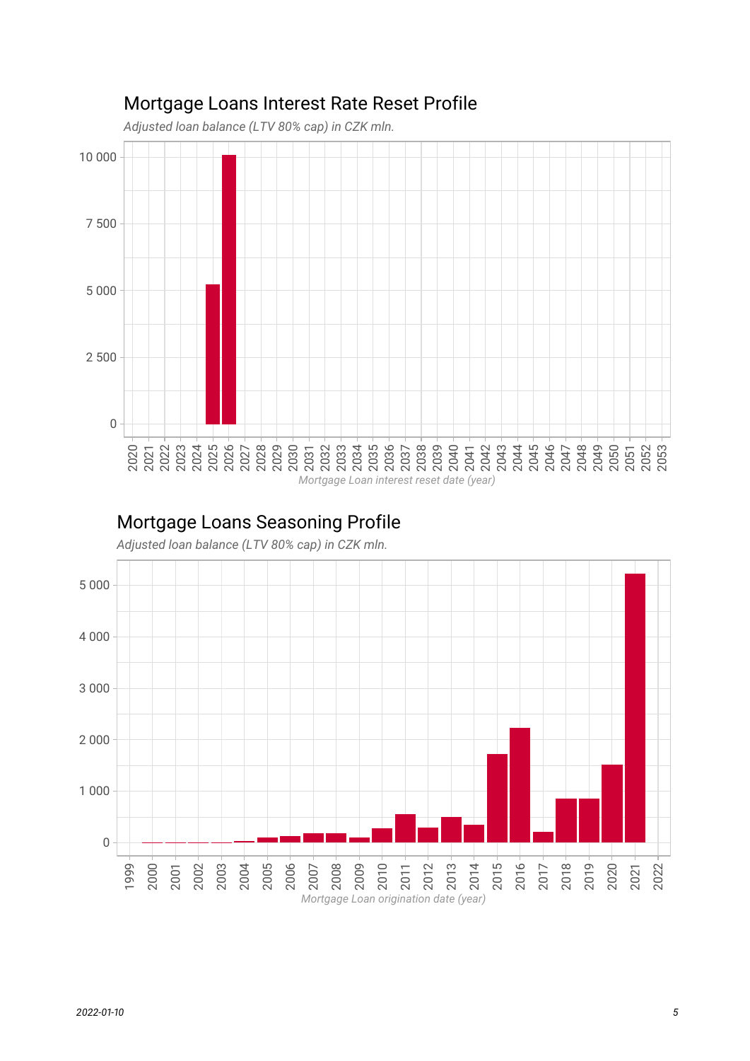

## Mortgage Loans Interest Rate Reset Profile

### Mortgage Loans Seasoning Profile

*Adjusted loan balance (LTV 80% cap) in CZK mln.*

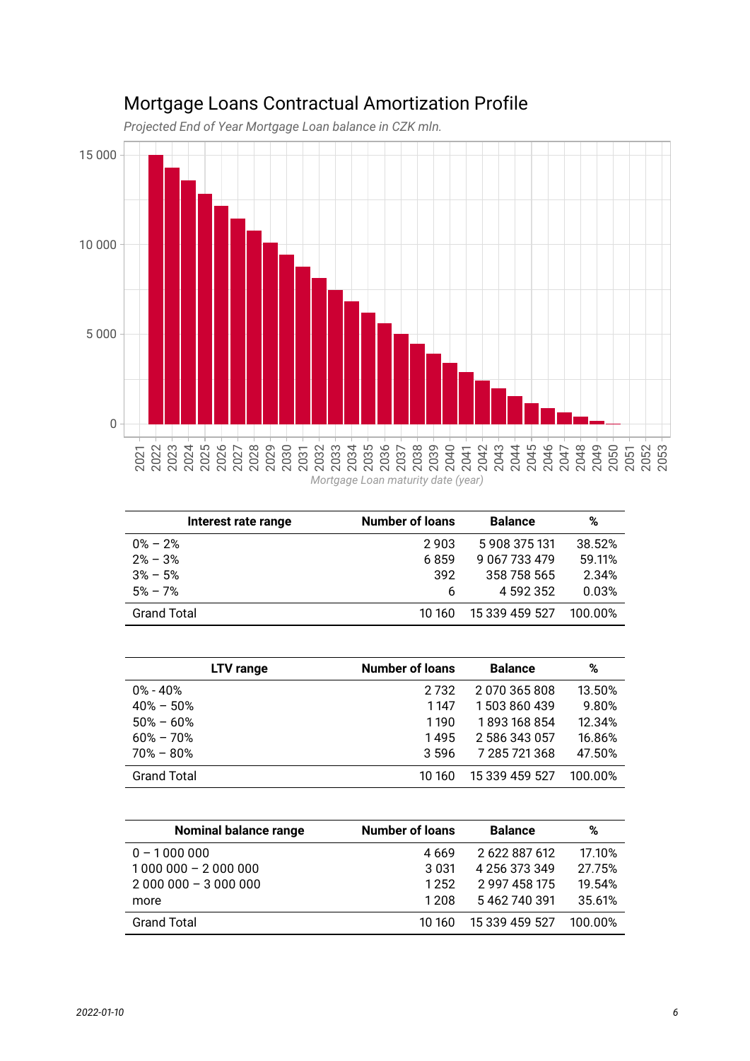

## Mortgage Loans Contractual Amortization Profile

*Projected End of Year Mortgage Loan balance in CZK mln.*

| Interest rate range | <b>Number of loans</b> | <b>Balance</b> | %       |
|---------------------|------------------------|----------------|---------|
| $0\% - 2\%$         | 2903                   | 5908375131     | 38.52%  |
| $2\% - 3\%$         | 6859                   | 9 067 733 479  | 59.11%  |
| $3\% - 5\%$         | 392                    | 358 758 565    | 2.34%   |
| $5\% - 7\%$         | 6                      | 4 592 352      | 0.03%   |
| <b>Grand Total</b>  | 10 160                 | 15 339 459 527 | 100 00% |

| LTV range          | <b>Number of loans</b> | <b>Balance</b> | %       |
|--------------------|------------------------|----------------|---------|
| $0\%$ - $40\%$     | 2 7 3 2                | 2070365808     | 13.50%  |
| $40\% - 50\%$      | 1147                   | 1503860439     | 9.80%   |
| $50\% - 60\%$      | 1190                   | 1893168854     | 12.34%  |
| $60\% - 70\%$      | 1495                   | 2 586 343 057  | 16.86%  |
| $70\% - 80\%$      | 3.596                  | 7 285 721 368  | 47.50%  |
| <b>Grand Total</b> | 10 160                 | 15 339 459 527 | 100 00% |

| <b>Nominal balance range</b> | <b>Number of loans</b> | <b>Balance</b> | %       |
|------------------------------|------------------------|----------------|---------|
| $0 - 1000000$                | 4 669                  | 2 622 887 612  | 17.10%  |
| $1000000 - 2000000$          | 3 0 3 1                | 4 256 373 349  | 27.75%  |
| $2000000 - 3000000$          | 1252                   | 2 997 458 175  | 19.54%  |
| more                         | 1 2 0 8                | 5462740391     | 35.61%  |
| <b>Grand Total</b>           | 10 160                 | 15 339 459 527 | 100 00% |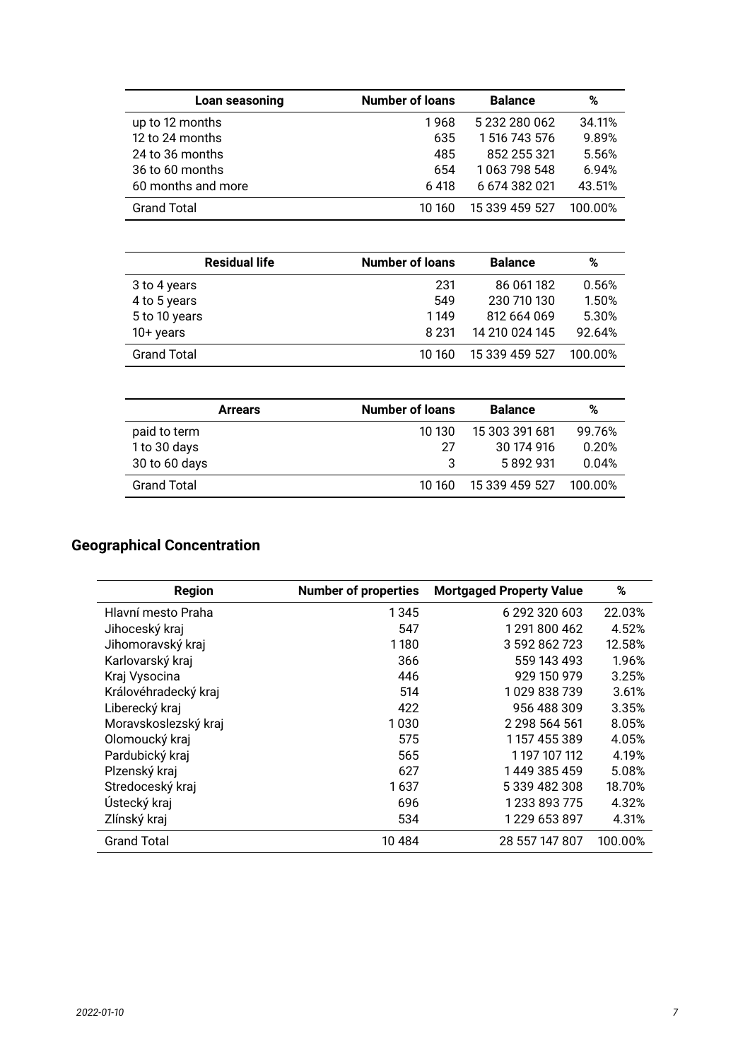| Loan seasoning     | <b>Number of loans</b> | <b>Balance</b> | %       |
|--------------------|------------------------|----------------|---------|
| up to 12 months    | 1968                   | 5 232 280 062  | 34.11%  |
| 12 to 24 months    | 635                    | 1516743576     | 9.89%   |
| 24 to 36 months    | 485                    | 852 255 321    | 5.56%   |
| 36 to 60 months    | 654                    | 1063 798 548   | 6.94%   |
| 60 months and more | 6418                   | 6 674 382 021  | 43.51%  |
| <b>Grand Total</b> | 10 160                 | 15 339 459 527 | 100.00% |

| <b>Residual life</b> | <b>Number of loans</b> | <b>Balance</b> | %       |
|----------------------|------------------------|----------------|---------|
| 3 to 4 years         | 231                    | 86 061 182     | 0.56%   |
| 4 to 5 years         | 549                    | 230 710 130    | 1.50%   |
| 5 to 10 years        | 1149                   | 812 664 069    | 5.30%   |
| $10+$ years          | 8 2 3 1                | 14 210 024 145 | 92.64%  |
| <b>Grand Total</b>   | 10 160                 | 15 339 459 527 | 100.00% |

| <b>Arrears</b>     | <b>Number of loans</b><br><b>Balance</b> |                | %       |
|--------------------|------------------------------------------|----------------|---------|
| paid to term       | 10 130                                   | 15 303 391 681 | 99.76%  |
| 1 to 30 days       | 27                                       | 30 174 916     | 0.20%   |
| 30 to 60 days      |                                          | 5892931        | 0.04%   |
| <b>Grand Total</b> | 10 160                                   | 15 339 459 527 | 100.00% |

### **Geographical Concentration**

| <b>Region</b>        | <b>Number of properties</b> | <b>Mortgaged Property Value</b> | %       |
|----------------------|-----------------------------|---------------------------------|---------|
| Hlavní mesto Praha   | 1345                        | 6 292 320 603                   | 22.03%  |
| Jihoceský kraj       | 547                         | 1291800462                      | 4.52%   |
| Jihomoravský kraj    | 1180                        | 3 592 862 723                   | 12.58%  |
| Karlovarský kraj     | 366                         | 559 143 493                     | 1.96%   |
| Kraj Vysocina        | 446                         | 929 150 979                     | 3.25%   |
| Královéhradecký kraj | 514                         | 1029 838 739                    | 3.61%   |
| Liberecký kraj       | 422                         | 956 488 309                     | 3.35%   |
| Moravskoslezský kraj | 1030                        | 2 2 9 5 5 6 4 5 6 1             | 8.05%   |
| Olomoucký kraj       | 575                         | 1157455389                      | 4.05%   |
| Pardubický kraj      | 565                         | 1 197 107 112                   | 4.19%   |
| Plzenský kraj        | 627                         | 1449 385 459                    | 5.08%   |
| Stredoceský kraj     | 1637                        | 5 339 482 308                   | 18.70%  |
| Ústecký kraj         | 696                         | 1 233 893 775                   | 4.32%   |
| Zlínský kraj         | 534                         | 1 229 653 897                   | 4.31%   |
| <b>Grand Total</b>   | 10 4 84                     | 28 557 147 807                  | 100.00% |